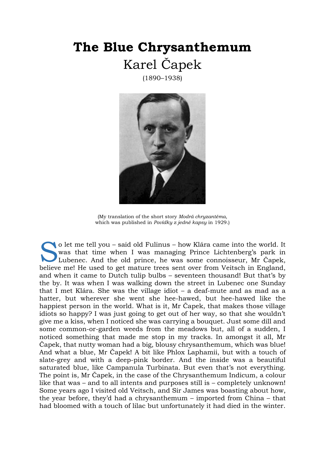## **The Blue Chrysanthemum**  Karel Čapek

(1890–1938)



(My translation of the short story *Modrá chryzantéma*, which was published in *Povídky z jedné kapsy* in 1929.)

o let me tell you – said old Fulinus – how Klára came into the world. It was that time when I was managing Prince Lichtenberg's park in Lubenec. And the old prince, he was some connoisseur, Mr Čapek, o let me tell you – said old Fulinus – how Klára came into the world. It was that time when I was managing Prince Lichtenberg's park in Lubenec. And the old prince, he was some connoisseur, Mr Čapek, believe me! He used to and when it came to Dutch tulip bulbs – seventeen thousand! But that's by the by. It was when I was walking down the street in Lubenec one Sunday that I met Klára. She was the village idiot – a deaf-mute and as mad as a hatter, but wherever she went she hee-hawed, but hee-hawed like the happiest person in the world. What is it, Mr Čapek, that makes those village idiots so happy? I was just going to get out of her way, so that she wouldn't give me a kiss, when I noticed she was carrying a bouquet. Just some dill and some common-or-garden weeds from the meadows but, all of a sudden, I noticed something that made me stop in my tracks. In amongst it all, Mr Čapek, that nutty woman had a big, blousy chrysanthemum, which was blue! And what a blue, Mr Čapek! A bit like Phlox Laphamii, but with a touch of slate-grey and with a deep-pink border. And the inside was a beautiful saturated blue, like Campanula Turbinata. But even that's not everything. The point is, Mr Čapek, in the case of the Chrysanthemum Indicum, a colour like that was – and to all intents and purposes still is – completely unknown! Some years ago I visited old Veitsch, and Sir James was boasting about how, the year before, they'd had a chrysanthemum – imported from China – that had bloomed with a touch of lilac but unfortunately it had died in the winter.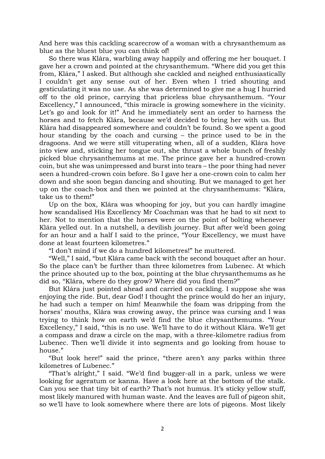And here was this cackling scarecrow of a woman with a chrysanthemum as blue as the bluest blue you can think of!

So there was Klára, warbling away happily and offering me her bouquet. I gave her a crown and pointed at the chrysanthemum. "Where did you get this from, Klára," I asked. But although she cackled and neighed enthusiastically I couldn't get any sense out of her. Even when I tried shouting and gesticulating it was no use. As she was determined to give me a hug I hurried off to the old prince, carrying that priceless blue chrysanthemum. "Your Excellency," I announced, "this miracle is growing somewhere in the vicinity. Let's go and look for it!" And he immediately sent an order to harness the horses and to fetch Klára, because we'd decided to bring her with us. But Klára had disappeared somewhere and couldn't be found. So we spent a good hour standing by the coach and cursing – the prince used to be in the dragoons. And we were still vituperating when, all of a sudden, Klára hove into view and, sticking her tongue out, she thrust a whole bunch of freshly picked blue chrysanthemums at me. The prince gave her a hundred-crown coin, but she was unimpressed and burst into tears – the poor thing had never seen a hundred-crown coin before. So I gave her a one-crown coin to calm her down and she soon began dancing and shouting. But we managed to get her up on the coach-box and then we pointed at the chrysanthemums: "Klára, take us to them!"

Up on the box, Klára was whooping for joy, but you can hardly imagine how scandalised His Excellency Mr Coachman was that he had to sit next to her. Not to mention that the horses were on the point of bolting whenever Klára yelled out. In a nutshell, a devilish journey. But after we'd been going for an hour and a half I said to the prince, "Your Excellency, we must have done at least fourteen kilometres."

"I don't mind if we do a hundred kilometres!" he muttered.

"Well," I said, "but Klára came back with the second bouquet after an hour. So the place can't be further than three kilometres from Lubenec. At which the prince shouted up to the box, pointing at the blue chrysanthemums as he did so, "Klára, where do they grow? Where did you find them?"

But Klára just pointed ahead and carried on cackling. I suppose she was enjoying the ride. But, dear God! I thought the prince would do her an injury, he had such a temper on him! Meanwhile the foam was dripping from the horses' mouths, Klára was crowing away, the prince was cursing and I was trying to think how on earth we'd find the blue chrysanthemums. "Your Excellency," I said, "this is no use. We'll have to do it without Klára. We'll get a compass and draw a circle on the map, with a three-kilometre radius from Lubenec. Then we'll divide it into segments and go looking from house to house."

"But look here!" said the prince, "there aren't any parks within three kilometres of Lubenec."

"That's alright," I said. "We'd find bugger-all in a park, unless we were looking for ageratum or kanna. Have a look here at the bottom of the stalk. Can you see that tiny bit of earth? That's not humus. It's sticky yellow stuff, most likely manured with human waste. And the leaves are full of pigeon shit, so we'll have to look somewhere where there are lots of pigeons. Most likely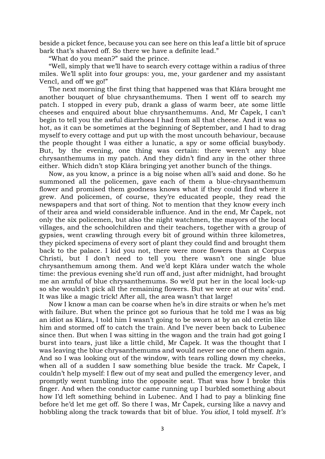beside a picket fence, because you can see here on this leaf a little bit of spruce bark that's shaved off. So there we have a definite lead."

"What do you mean?" said the prince.

"Well, simply that we'll have to search every cottage within a radius of three miles. We'll split into four groups: you, me, your gardener and my assistant Vencl, and off we go!"

The next morning the first thing that happened was that Klára brought me another bouquet of blue chrysanthemums. Then I went off to search my patch. I stopped in every pub, drank a glass of warm beer, ate some little cheeses and enquired about blue chrysanthemums. And, Mr Čapek, I can't begin to tell you the awful diarrhoea I had from all that cheese. And it was so hot, as it can be sometimes at the beginning of September, and I had to drag myself to every cottage and put up with the most uncouth behaviour, because the people thought I was either a lunatic, a spy or some official busybody. But, by the evening, one thing was certain: there weren't any blue chrysanthemums in my patch. And they didn't find any in the other three either. Which didn't stop Klára bringing yet another bunch of the things.

Now, as you know, a prince is a big noise when all's said and done. So he summoned all the policemen, gave each of them a blue-chrysanthemum flower and promised them goodness knows what if they could find where it grew. And policemen, of course, they're educated people, they read the newspapers and that sort of thing. Not to mention that they know every inch of their area and wield considerable influence. And in the end, Mr Čapek, not only the six policemen, but also the night watchmen, the mayors of the local villages, and the schoolchildren and their teachers, together with a group of gypsies, went crawling through every bit of ground within three kilometres, they picked specimens of every sort of plant they could find and brought them back to the palace. I kid you not, there were more flowers than at Corpus Christi, but I don't need to tell you there wasn't one single blue chrysanthemum among them. And we'd kept Klára under watch the whole time: the previous evening she'd run off and, just after midnight, had brought me an armful of blue chrysanthemums. So we'd put her in the local lock-up so she wouldn't pick all the remaining flowers. But we were at our wits' end. It was like a magic trick! After all, the area wasn't that large!

Now I know a man can be coarse when he's in dire straits or when he's met with failure. But when the prince got so furious that he told me I was as big an idiot as Klára, I told him I wasn't going to be sworn at by an old cretin like him and stormed off to catch the train. And I've never been back to Lubenec since then. But when I was sitting in the wagon and the train had got going I burst into tears, just like a little child, Mr Čapek. It was the thought that I was leaving the blue chrysanthemums and would never see one of them again. And so I was looking out of the window, with tears rolling down my cheeks, when all of a sudden I saw something blue beside the track. Mr Čapek, I couldn't help myself: I flew out of my seat and pulled the emergency lever, and promptly went tumbling into the opposite seat. That was how I broke this finger. And when the conductor came running up I burbled something about how I'd left something behind in Lubenec. And I had to pay a blinking fine before he'd let me get off. So there I was, Mr Čapek, cursing like a navvy and hobbling along the track towards that bit of blue. *You idiot*, I told myself. *It's*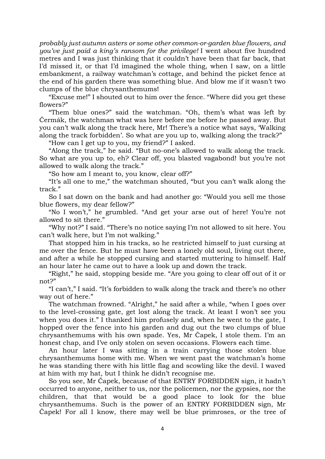*probably just autumn asters or some other common-or-garden blue flowers, and you've just paid a king's ransom for the privilege!* I went about five hundred metres and I was just thinking that it couldn't have been that far back, that I'd missed it, or that I'd imagined the whole thing, when I saw, on a little embankment, a railway watchman's cottage, and behind the picket fence at the end of his garden there was something blue. And blow me if it wasn't two clumps of the blue chrysanthemums!

"Excuse me!" I shouted out to him over the fence. "Where did you get these flowers?"

"Them blue ones?" said the watchman. "Oh, them's what was left by Čermák, the watchman what was here before me before he passed away. But you can't walk along the track here, Mr! There's a notice what says, 'Walking along the track forbidden'. So what are you up to, walking along the track?"

"How can I get up to you, my friend?" I asked.

"Along the track," he said. "But no-one's allowed to walk along the track. So what are you up to, eh? Clear off, you blasted vagabond! but you're not allowed to walk along the track."

"So how am I meant to, you know, clear off?"

"It's all one to me," the watchman shouted, "but you can't walk along the track."

So I sat down on the bank and had another go: "Would you sell me those blue flowers, my dear fellow?"

"No I won't," he grumbled. "And get your arse out of here! You're not allowed to sit there."

"Why not?" I said. "There's no notice saying I'm not allowed to sit here. You can't walk here, but I'm not walking."

That stopped him in his tracks, so he restricted himself to just cursing at me over the fence. But he must have been a lonely old soul, living out there, and after a while he stopped cursing and started muttering to himself. Half an hour later he came out to have a look up and down the track.

"Right," he said, stopping beside me. "Are you going to clear off out of it or not?"

"I can't," I said. "It's forbidden to walk along the track and there's no other way out of here."

The watchman frowned. "Alright," he said after a while, "when I goes over to the level-crossing gate, get lost along the track. At least I won't see you when you does it." I thanked him profusely and, when he went to the gate, I hopped over the fence into his garden and dug out the two clumps of blue chrysanthemums with his own spade. Yes, Mr Čapek, I stole them. I'm an honest chap, and I've only stolen on seven occasions. Flowers each time.

An hour later I was sitting in a train carrying those stolen blue chrysanthemums home with me. When we went past the watchman's home he was standing there with his little flag and scowling like the devil. I waved at him with my hat, but I think he didn't recognise me.

So you see, Mr Čapek, because of that ENTRY FORBIDDEN sign, it hadn't occurred to anyone, neither to us, nor the policemen, nor the gypsies, nor the children, that that would be a good place to look for the blue chrysanthemums. Such is the power of an ENTRY FORBIDDEN sign, Mr Čapek! For all I know, there may well be blue primroses, or the tree of